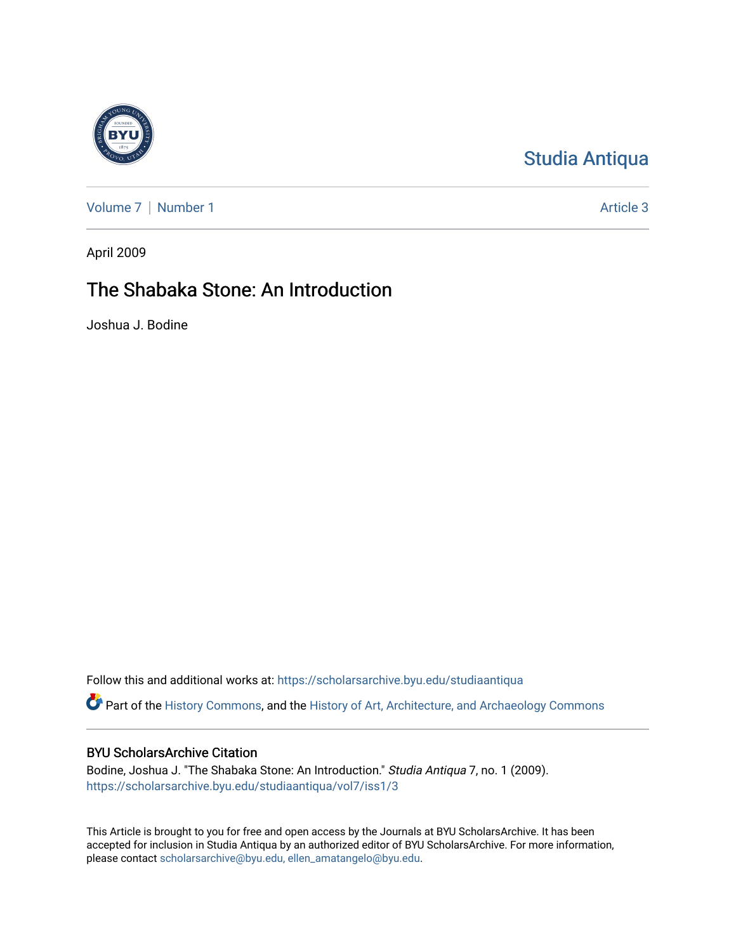

# [Studia Antiqua](https://scholarsarchive.byu.edu/studiaantiqua)

[Volume 7](https://scholarsarchive.byu.edu/studiaantiqua/vol7) | [Number 1](https://scholarsarchive.byu.edu/studiaantiqua/vol7/iss1) Article 3

April 2009

# The Shabaka Stone: An Introduction

Joshua J. Bodine

Follow this and additional works at: [https://scholarsarchive.byu.edu/studiaantiqua](https://scholarsarchive.byu.edu/studiaantiqua?utm_source=scholarsarchive.byu.edu%2Fstudiaantiqua%2Fvol7%2Fiss1%2F3&utm_medium=PDF&utm_campaign=PDFCoverPages) 

Part of the [History Commons,](http://network.bepress.com/hgg/discipline/489?utm_source=scholarsarchive.byu.edu%2Fstudiaantiqua%2Fvol7%2Fiss1%2F3&utm_medium=PDF&utm_campaign=PDFCoverPages) and the [History of Art, Architecture, and Archaeology Commons](http://network.bepress.com/hgg/discipline/510?utm_source=scholarsarchive.byu.edu%2Fstudiaantiqua%2Fvol7%2Fiss1%2F3&utm_medium=PDF&utm_campaign=PDFCoverPages)

## BYU ScholarsArchive Citation

Bodine, Joshua J. "The Shabaka Stone: An Introduction." Studia Antiqua 7, no. 1 (2009). [https://scholarsarchive.byu.edu/studiaantiqua/vol7/iss1/3](https://scholarsarchive.byu.edu/studiaantiqua/vol7/iss1/3?utm_source=scholarsarchive.byu.edu%2Fstudiaantiqua%2Fvol7%2Fiss1%2F3&utm_medium=PDF&utm_campaign=PDFCoverPages) 

This Article is brought to you for free and open access by the Journals at BYU ScholarsArchive. It has been accepted for inclusion in Studia Antiqua by an authorized editor of BYU ScholarsArchive. For more information, please contact [scholarsarchive@byu.edu, ellen\\_amatangelo@byu.edu.](mailto:scholarsarchive@byu.edu,%20ellen_amatangelo@byu.edu)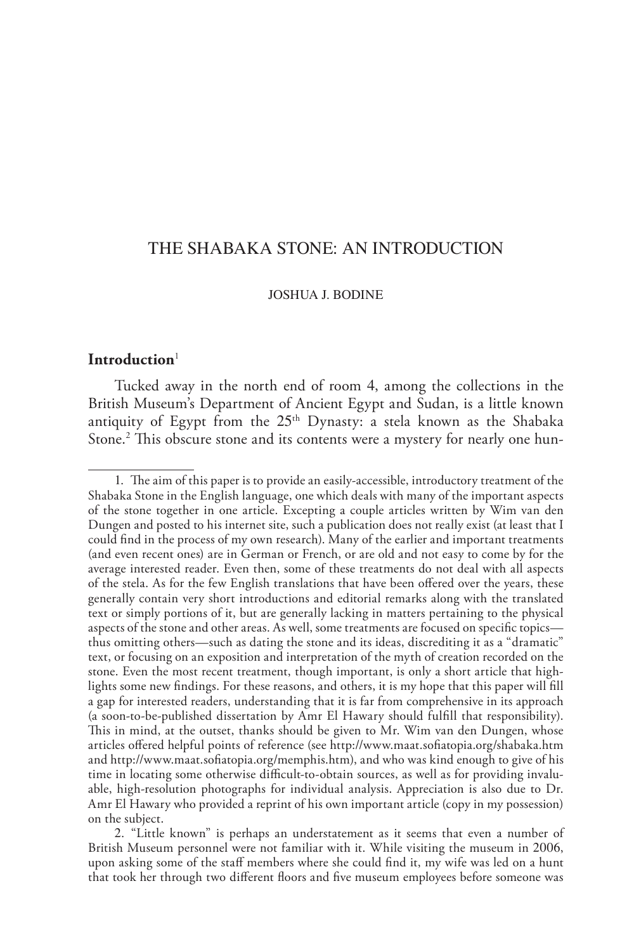## the shabaka stone: an introduction

#### Joshua J. Bodine

#### **Introduction**<sup>1</sup>

Tucked away in the north end of room 4, among the collections in the British Museum's Department of Ancient Egypt and Sudan, is a little known antiquity of Egypt from the 25<sup>th</sup> Dynasty: a stela known as the Shabaka Stone.<sup>2</sup> This obscure stone and its contents were a mystery for nearly one hun-

<sup>1</sup>. The aim of this paper is to provide an easily-accessible, introductory treatment of the Shabaka Stone in the English language, one which deals with many of the important aspects of the stone together in one article. Excepting a couple articles written by Wim van den Dungen and posted to his internet site, such a publication does not really exist (at least that I could find in the process of my own research). Many of the earlier and important treatments (and even recent ones) are in German or French, or are old and not easy to come by for the average interested reader. Even then, some of these treatments do not deal with all aspects of the stela. As for the few English translations that have been offered over the years, these generally contain very short introductions and editorial remarks along with the translated text or simply portions of it, but are generally lacking in matters pertaining to the physical aspects of the stone and other areas. As well, some treatments are focused on specific topics thus omitting others—such as dating the stone and its ideas, discrediting it as a "dramatic" text, or focusing on an exposition and interpretation of the myth of creation recorded on the stone. Even the most recent treatment, though important, is only a short article that highlights some new findings. For these reasons, and others, it is my hope that this paper will fill a gap for interested readers, understanding that it is far from comprehensive in its approach (a soon-to-be-published dissertation by Amr El Hawary should fulfill that responsibility). This in mind, at the outset, thanks should be given to Mr. Wim van den Dungen, whose articles offered helpful points of reference (see http://www.maat.sofiatopia.org/shabaka.htm and http://www.maat.sofiatopia.org/memphis.htm), and who was kind enough to give of his time in locating some otherwise difficult-to-obtain sources, as well as for providing invaluable, high-resolution photographs for individual analysis. Appreciation is also due to Dr. Amr El Hawary who provided a reprint of his own important article (copy in my possession) on the subject.

<sup>2</sup>. "Little known" is perhaps an understatement as it seems that even a number of British Museum personnel were not familiar with it. While visiting the museum in 2006, upon asking some of the staff members where she could find it, my wife was led on a hunt that took her through two different floors and five museum employees before someone was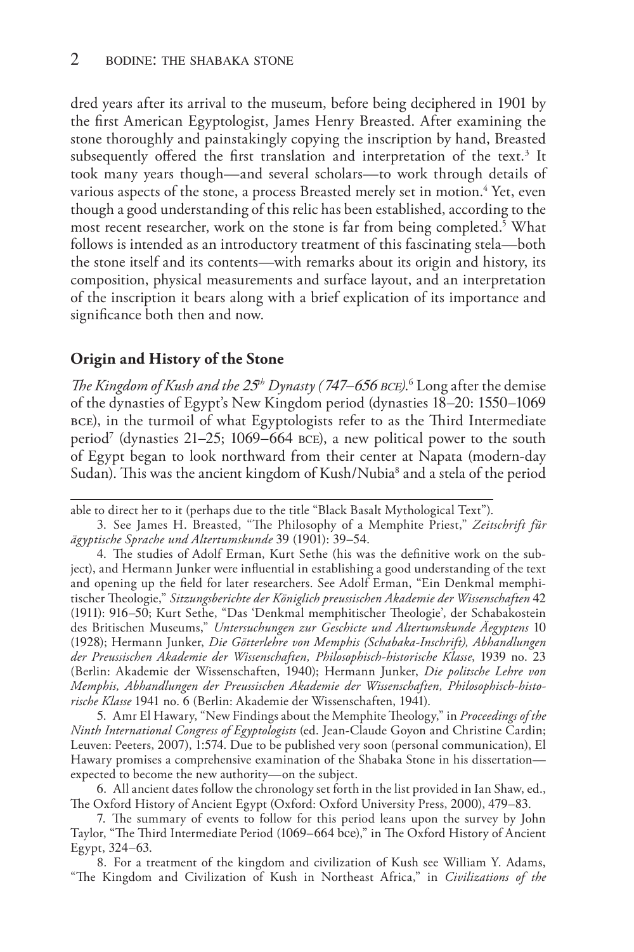dred years after its arrival to the museum, before being deciphered in 1901 by the first American Egyptologist, James Henry Breasted. After examining the stone thoroughly and painstakingly copying the inscription by hand, Breasted subsequently offered the first translation and interpretation of the text.<sup>3</sup> It took many years though—and several scholars—to work through details of various aspects of the stone, a process Breasted merely set in motion.<sup>4</sup> Yet, even though a good understanding of this relic has been established, according to the most recent researcher, work on the stone is far from being completed.<sup>5</sup> What follows is intended as an introductory treatment of this fascinating stela—both the stone itself and its contents—with remarks about its origin and history, its composition, physical measurements and surface layout, and an interpretation of the inscription it bears along with a brief explication of its importance and significance both then and now.

### **Origin and History of the Stone**

*The Kingdom of Kush and the* 25*th Dynasty (*747–656 bce*)*. 6 Long after the demise of the dynasties of Egypt's New Kingdom period (dynasties 18–20: 1550–1069 bce), in the turmoil of what Egyptologists refer to as the Third Intermediate period<sup>7</sup> (dynasties 21–25; 1069–664 BCE), a new political power to the south of Egypt began to look northward from their center at Napata (modern-day Sudan). This was the ancient kingdom of Kush/Nubia<sup>8</sup> and a stela of the period

5. Amr El Hawary, "New Findings about the Memphite Theology," in *Proceedings of the Ninth International Congress of Egyptologists* (ed. Jean-Claude Goyon and Christine Cardin; Leuven: Peeters, 2007), 1:574. Due to be published very soon (personal communication), El Hawary promises a comprehensive examination of the Shabaka Stone in his dissertation expected to become the new authority—on the subject.

6. All ancient dates follow the chronology set forth in the list provided in Ian Shaw, ed., The Oxford History of Ancient Egypt (Oxford: Oxford University Press, 2000), 479–83.

7. The summary of events to follow for this period leans upon the survey by John Taylor, "The Third Intermediate Period (1069–664 bce)," in The Oxford History of Ancient Egypt, 324–63.

8. For a treatment of the kingdom and civilization of Kush see William Y. Adams, "The Kingdom and Civilization of Kush in Northeast Africa," in *Civilizations of the* 

able to direct her to it (perhaps due to the title "Black Basalt Mythological Text").

<sup>3</sup>. See James H. Breasted, "The Philosophy of a Memphite Priest," *Zeitschrift für ägyptische Sprache und Altertumskunde* 39 (1901): 39–54.

<sup>4</sup>. The studies of Adolf Erman, Kurt Sethe (his was the definitive work on the subject), and Hermann Junker were influential in establishing a good understanding of the text and opening up the field for later researchers. See Adolf Erman, "Ein Denkmal memphitischer Theologie," *Sitzungsberichte der Königlich preussischen Akademie der Wissenschaften* 42 (1911): 916–50; Kurt Sethe, "Das 'Denkmal memphitischer Theologie', der Schabakostein des Britischen Museums," *Untersuchungen zur Geschicte und Altertumskunde Äegyptens* 10 (1928); Hermann Junker, *Die Götterlehre von Memphis (Schabaka-Inschrift), Abhandlungen der Preussischen Akademie der Wissenschaften, Philosophisch-historische Klasse*, 1939 no. 23 (Berlin: Akademie der Wissenschaften, 1940); Hermann Junker, *Die politsche Lehre von Memphis, Abhandlungen der Preussischen Akademie der Wissenschaften, Philosophisch-historische Klasse* 1941 no. 6 (Berlin: Akademie der Wissenschaften, 1941).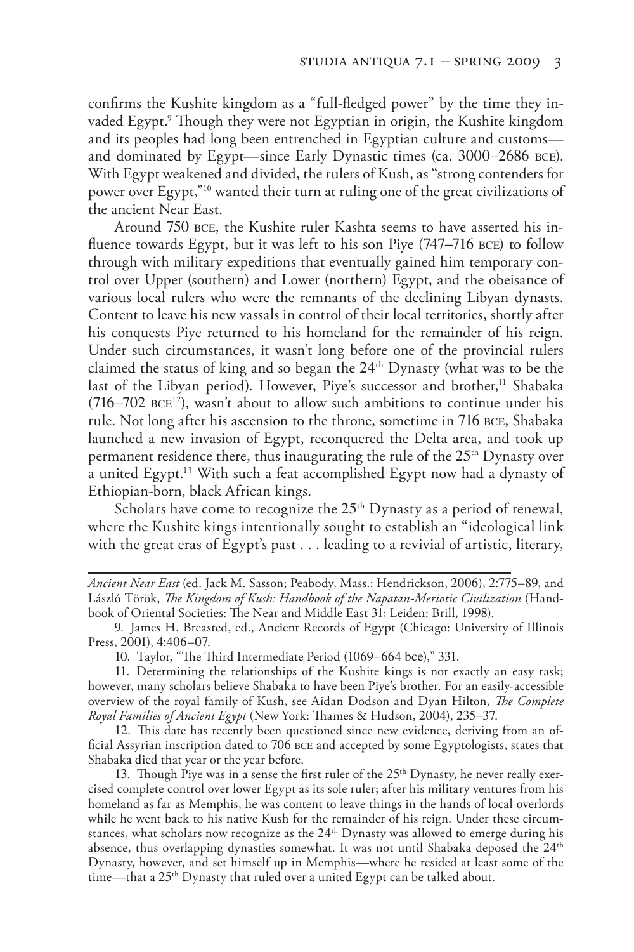confirms the Kushite kingdom as a "full-fledged power" by the time they invaded Egypt.9 Though they were not Egyptian in origin, the Kushite kingdom and its peoples had long been entrenched in Egyptian culture and customs and dominated by Egypt—since Early Dynastic times (ca. 3000–2686 bce). With Egypt weakened and divided, the rulers of Kush, as "strong contenders for power over Egypt,"10 wanted their turn at ruling one of the great civilizations of the ancient Near East.

Around 750 bce, the Kushite ruler Kashta seems to have asserted his influence towards Egypt, but it was left to his son Piye (747–716 bce) to follow through with military expeditions that eventually gained him temporary control over Upper (southern) and Lower (northern) Egypt, and the obeisance of various local rulers who were the remnants of the declining Libyan dynasts. Content to leave his new vassals in control of their local territories, shortly after his conquests Piye returned to his homeland for the remainder of his reign. Under such circumstances, it wasn't long before one of the provincial rulers claimed the status of king and so began the 24<sup>th</sup> Dynasty (what was to be the last of the Libyan period). However, Piye's successor and brother,<sup>11</sup> Shabaka  $(716–702 \text{ BCE}^{12})$ , wasn't about to allow such ambitions to continue under his rule. Not long after his ascension to the throne, sometime in 716 bce, Shabaka launched a new invasion of Egypt, reconquered the Delta area, and took up permanent residence there, thus inaugurating the rule of the 25<sup>th</sup> Dynasty over a united Egypt.13 With such a feat accomplished Egypt now had a dynasty of Ethiopian-born, black African kings.

Scholars have come to recognize the  $25<sup>th</sup>$  Dynasty as a period of renewal, where the Kushite kings intentionally sought to establish an "ideological link with the great eras of Egypt's past . . . leading to a revivial of artistic, literary,

*Ancient Near East* (ed. Jack M. Sasson; Peabody, Mass.: Hendrickson, 2006), 2:775–89, and László Török, *The Kingdom of Kush: Handbook of the Napatan-Meriotic Civilization* (Handbook of Oriental Societies: The Near and Middle East 31; Leiden: Brill, 1998).

9. James H. Breasted, ed., Ancient Records of Egypt (Chicago: University of Illinois Press, 2001), 4:406–07.

10. Taylor, "The Third Intermediate Period (1069–664 bce)," 331.

11. Determining the relationships of the Kushite kings is not exactly an easy task; however, many scholars believe Shabaka to have been Piye's brother. For an easily-accessible overview of the royal family of Kush, see Aidan Dodson and Dyan Hilton, *The Complete Royal Families of Ancient Egypt* (New York: Thames & Hudson, 2004), 235–37.

12. This date has recently been questioned since new evidence, deriving from an official Assyrian inscription dated to 706 bce and accepted by some Egyptologists, states that Shabaka died that year or the year before.

13. Though Piye was in a sense the first ruler of the  $25<sup>th</sup>$  Dynasty, he never really exercised complete control over lower Egypt as its sole ruler; after his military ventures from his homeland as far as Memphis, he was content to leave things in the hands of local overlords while he went back to his native Kush for the remainder of his reign. Under these circumstances, what scholars now recognize as the 24<sup>th</sup> Dynasty was allowed to emerge during his absence, thus overlapping dynasties somewhat. It was not until Shabaka deposed the  $24<sup>th</sup>$ Dynasty, however, and set himself up in Memphis—where he resided at least some of the time—that a 25<sup>th</sup> Dynasty that ruled over a united Egypt can be talked about.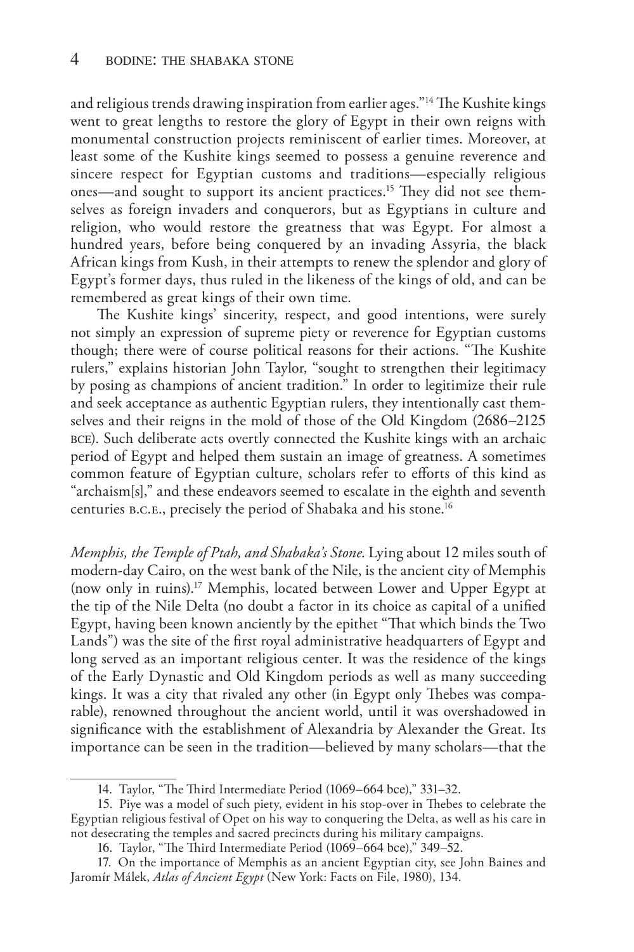and religious trends drawing inspiration from earlier ages."14 The Kushite kings went to great lengths to restore the glory of Egypt in their own reigns with monumental construction projects reminiscent of earlier times. Moreover, at least some of the Kushite kings seemed to possess a genuine reverence and sincere respect for Egyptian customs and traditions—especially religious ones—and sought to support its ancient practices.15 They did not see themselves as foreign invaders and conquerors, but as Egyptians in culture and religion, who would restore the greatness that was Egypt. For almost a hundred years, before being conquered by an invading Assyria, the black African kings from Kush, in their attempts to renew the splendor and glory of Egypt's former days, thus ruled in the likeness of the kings of old, and can be remembered as great kings of their own time.

The Kushite kings' sincerity, respect, and good intentions, were surely not simply an expression of supreme piety or reverence for Egyptian customs though; there were of course political reasons for their actions. "The Kushite rulers," explains historian John Taylor, "sought to strengthen their legitimacy by posing as champions of ancient tradition." In order to legitimize their rule and seek acceptance as authentic Egyptian rulers, they intentionally cast themselves and their reigns in the mold of those of the Old Kingdom (2686–2125 bce). Such deliberate acts overtly connected the Kushite kings with an archaic period of Egypt and helped them sustain an image of greatness. A sometimes common feature of Egyptian culture, scholars refer to efforts of this kind as "archaism[s]," and these endeavors seemed to escalate in the eighth and seventh centuries b.c.e., precisely the period of Shabaka and his stone.16

*Memphis, the Temple of Ptah, and Shabaka's Stone*. Lying about 12 miles south of modern-day Cairo, on the west bank of the Nile, is the ancient city of Memphis (now only in ruins).17 Memphis, located between Lower and Upper Egypt at the tip of the Nile Delta (no doubt a factor in its choice as capital of a unified Egypt, having been known anciently by the epithet "That which binds the Two Lands") was the site of the first royal administrative headquarters of Egypt and long served as an important religious center. It was the residence of the kings of the Early Dynastic and Old Kingdom periods as well as many succeeding kings. It was a city that rivaled any other (in Egypt only Thebes was comparable), renowned throughout the ancient world, until it was overshadowed in significance with the establishment of Alexandria by Alexander the Great. Its importance can be seen in the tradition—believed by many scholars—that the

<sup>14</sup>. Taylor, "The Third Intermediate Period (1069–664 bce)," 331–32.

<sup>15</sup>. Piye was a model of such piety, evident in his stop-over in Thebes to celebrate the Egyptian religious festival of Opet on his way to conquering the Delta, as well as his care in not desecrating the temples and sacred precincts during his military campaigns.

<sup>16</sup>. Taylor, "The Third Intermediate Period (1069–664 bce)," 349–52.

<sup>17</sup>. On the importance of Memphis as an ancient Egyptian city, see John Baines and Jaromír Málek, *Atlas of Ancient Egypt* (New York: Facts on File, 1980), 134.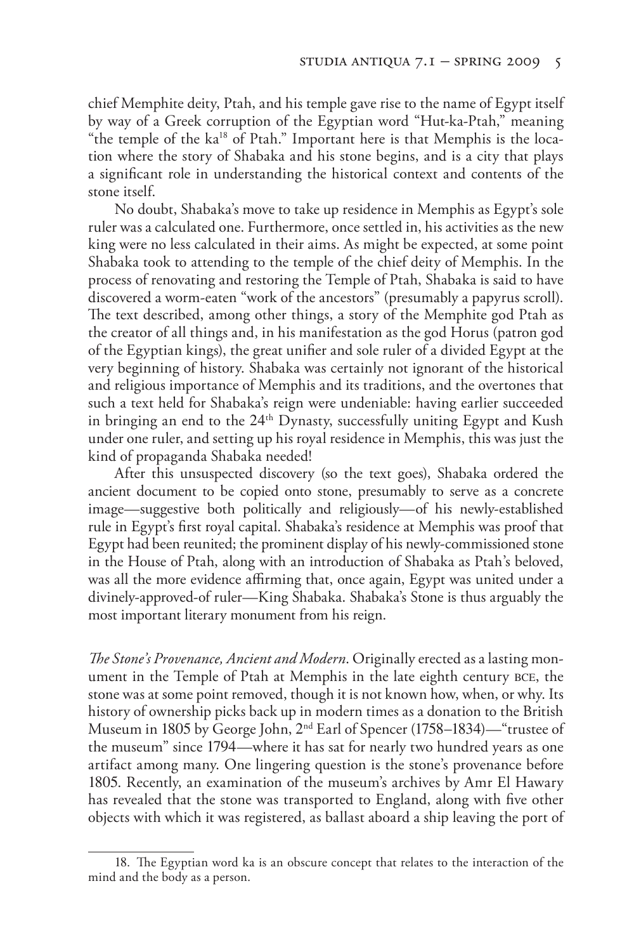chief Memphite deity, Ptah, and his temple gave rise to the name of Egypt itself by way of a Greek corruption of the Egyptian word "Hut-ka-Ptah," meaning "the temple of the ka<sup>18</sup> of Ptah." Important here is that Memphis is the location where the story of Shabaka and his stone begins, and is a city that plays a significant role in understanding the historical context and contents of the stone itself.

No doubt, Shabaka's move to take up residence in Memphis as Egypt's sole ruler was a calculated one. Furthermore, once settled in, his activities as the new king were no less calculated in their aims. As might be expected, at some point Shabaka took to attending to the temple of the chief deity of Memphis. In the process of renovating and restoring the Temple of Ptah, Shabaka is said to have discovered a worm-eaten "work of the ancestors" (presumably a papyrus scroll). The text described, among other things, a story of the Memphite god Ptah as the creator of all things and, in his manifestation as the god Horus (patron god of the Egyptian kings), the great unifier and sole ruler of a divided Egypt at the very beginning of history. Shabaka was certainly not ignorant of the historical and religious importance of Memphis and its traditions, and the overtones that such a text held for Shabaka's reign were undeniable: having earlier succeeded in bringing an end to the  $24<sup>th</sup>$  Dynasty, successfully uniting Egypt and Kush under one ruler, and setting up his royal residence in Memphis, this was just the kind of propaganda Shabaka needed!

After this unsuspected discovery (so the text goes), Shabaka ordered the ancient document to be copied onto stone, presumably to serve as a concrete image—suggestive both politically and religiously—of his newly-established rule in Egypt's first royal capital. Shabaka's residence at Memphis was proof that Egypt had been reunited; the prominent display of his newly-commissioned stone in the House of Ptah, along with an introduction of Shabaka as Ptah's beloved, was all the more evidence affirming that, once again, Egypt was united under a divinely-approved-of ruler—King Shabaka. Shabaka's Stone is thus arguably the most important literary monument from his reign.

*The Stone's Provenance, Ancient and Modern*. Originally erected as a lasting monument in the Temple of Ptah at Memphis in the late eighth century bce, the stone was at some point removed, though it is not known how, when, or why. Its history of ownership picks back up in modern times as a donation to the British Museum in 1805 by George John, 2nd Earl of Spencer (1758–1834)—"trustee of the museum" since 1794—where it has sat for nearly two hundred years as one artifact among many. One lingering question is the stone's provenance before 1805. Recently, an examination of the museum's archives by Amr El Hawary has revealed that the stone was transported to England, along with five other objects with which it was registered, as ballast aboard a ship leaving the port of

<sup>18</sup>. The Egyptian word ka is an obscure concept that relates to the interaction of the mind and the body as a person.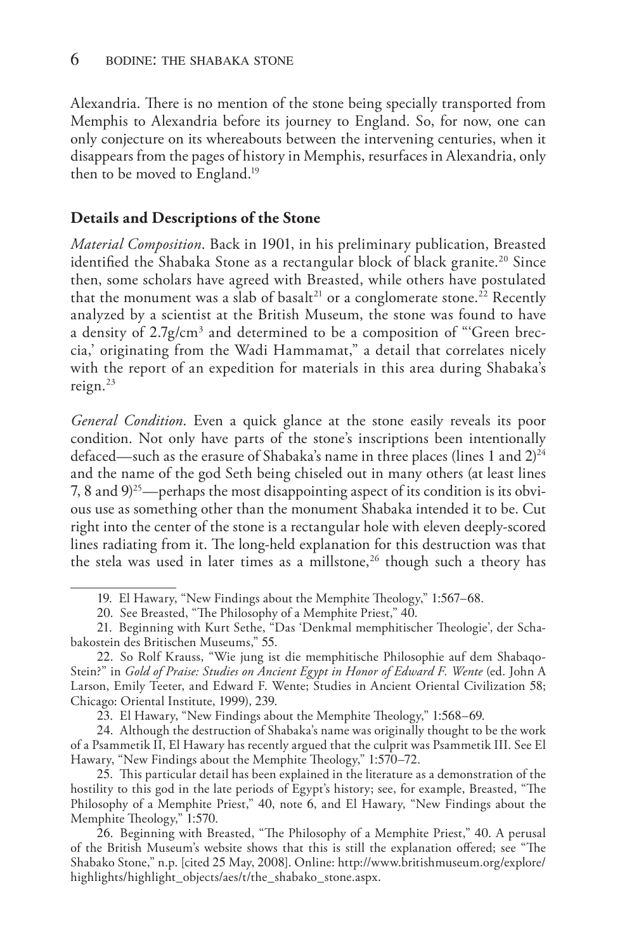Alexandria. There is no mention of the stone being specially transported from Memphis to Alexandria before its journey to England. So, for now, one can only conjecture on its whereabouts between the intervening centuries, when it disappears from the pages of history in Memphis, resurfaces in Alexandria, only then to be moved to England.<sup>19</sup>

### **Details and Descriptions of the Stone**

*Material Composition*. Back in 1901, in his preliminary publication, Breasted identified the Shabaka Stone as a rectangular block of black granite.<sup>20</sup> Since then, some scholars have agreed with Breasted, while others have postulated that the monument was a slab of basalt<sup>21</sup> or a conglomerate stone.<sup>22</sup> Recently analyzed by a scientist at the British Museum, the stone was found to have a density of 2.7g/cm<sup>3</sup> and determined to be a composition of "'Green breccia,' originating from the Wadi Hammamat," a detail that correlates nicely with the report of an expedition for materials in this area during Shabaka's reign.23

*General Condition*. Even a quick glance at the stone easily reveals its poor condition. Not only have parts of the stone's inscriptions been intentionally defaced—such as the erasure of Shabaka's name in three places (lines 1 and 2) 24 and the name of the god Seth being chiseled out in many others (at least lines 7, 8 and 9) 25—perhaps the most disappointing aspect of its condition is its obvious use as something other than the monument Shabaka intended it to be. Cut right into the center of the stone is a rectangular hole with eleven deeply-scored lines radiating from it. The long-held explanation for this destruction was that the stela was used in later times as a millstone, $26$  though such a theory has

23. El Hawary, "New Findings about the Memphite Theology," 1:568–69.

24. Although the destruction of Shabaka's name was originally thought to be the work of a Psammetik II, El Hawary has recently argued that the culprit was Psammetik III. See El Hawary, "New Findings about the Memphite Theology," 1:570–72.

25. This particular detail has been explained in the literature as a demonstration of the hostility to this god in the late periods of Egypt's history; see, for example, Breasted, "The Philosophy of a Memphite Priest," 40, note 6, and El Hawary, "New Findings about the Memphite Theology," 1:570.

26. Beginning with Breasted, "The Philosophy of a Memphite Priest," 40. A perusal of the British Museum's website shows that this is still the explanation offered; see "The Shabako Stone," n.p. [cited 25 May, 2008]. Online: http://www.britishmuseum.org/explore/ highlights/highlight\_objects/aes/t/the\_shabako\_stone.aspx.

<sup>19</sup>. El Hawary, "New Findings about the Memphite Theology," 1:567–68.

<sup>20</sup>. See Breasted, "The Philosophy of a Memphite Priest," 40.

<sup>21</sup>. Beginning with Kurt Sethe, "Das 'Denkmal memphitischer Theologie', der Schabakostein des Britischen Museums," 55.

<sup>22</sup>. So Rolf Krauss, "Wie jung ist die memphitische Philosophie auf dem Shabaqo-Stein?" in *Gold of Praise: Studies on Ancient Egypt in Honor of Edward F. Wente* (ed. John A Larson, Emily Teeter, and Edward F. Wente; Studies in Ancient Oriental Civilization 58; Chicago: Oriental Institute, 1999), 239.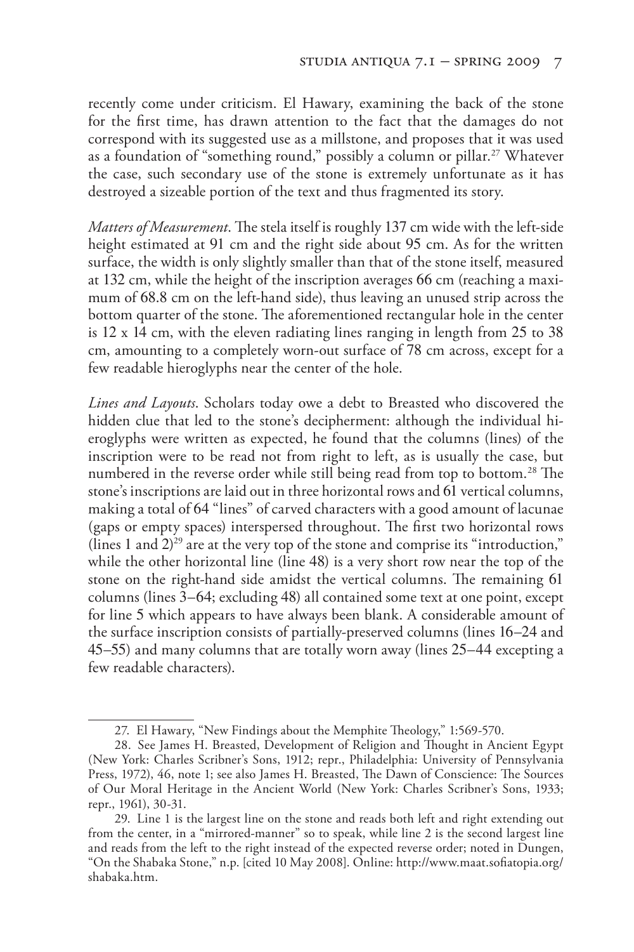recently come under criticism. El Hawary, examining the back of the stone for the first time, has drawn attention to the fact that the damages do not correspond with its suggested use as a millstone, and proposes that it was used as a foundation of "something round," possibly a column or pillar.27 Whatever the case, such secondary use of the stone is extremely unfortunate as it has destroyed a sizeable portion of the text and thus fragmented its story.

*Matters of Measurement*. The stela itself is roughly 137 cm wide with the left-side height estimated at 91 cm and the right side about 95 cm. As for the written surface, the width is only slightly smaller than that of the stone itself, measured at 132 cm, while the height of the inscription averages 66 cm (reaching a maximum of 68.8 cm on the left-hand side), thus leaving an unused strip across the bottom quarter of the stone. The aforementioned rectangular hole in the center is 12 x 14 cm, with the eleven radiating lines ranging in length from 25 to 38 cm, amounting to a completely worn-out surface of 78 cm across, except for a few readable hieroglyphs near the center of the hole.

*Lines and Layouts*. Scholars today owe a debt to Breasted who discovered the hidden clue that led to the stone's decipherment: although the individual hieroglyphs were written as expected, he found that the columns (lines) of the inscription were to be read not from right to left, as is usually the case, but numbered in the reverse order while still being read from top to bottom.<sup>28</sup> The stone's inscriptions are laid out in three horizontal rows and 61 vertical columns, making a total of 64 "lines" of carved characters with a good amount of lacunae (gaps or empty spaces) interspersed throughout. The first two horizontal rows (lines 1 and 2) 29 are at the very top of the stone and comprise its "introduction," while the other horizontal line (line 48) is a very short row near the top of the stone on the right-hand side amidst the vertical columns. The remaining 61 columns (lines 3–64; excluding 48) all contained some text at one point, except for line 5 which appears to have always been blank. A considerable amount of the surface inscription consists of partially-preserved columns (lines 16–24 and 45–55) and many columns that are totally worn away (lines 25–44 excepting a few readable characters).

<sup>27.</sup> El Hawary, "New Findings about the Memphite Theology," 1:569-570.

<sup>28.</sup> See James H. Breasted, Development of Religion and Thought in Ancient Egypt (New York: Charles Scribner's Sons, 1912; repr., Philadelphia: University of Pennsylvania Press, 1972), 46, note 1; see also James H. Breasted, The Dawn of Conscience: The Sources of Our Moral Heritage in the Ancient World (New York: Charles Scribner's Sons, 1933; repr., 1961), 30-31.

<sup>29.</sup> Line 1 is the largest line on the stone and reads both left and right extending out from the center, in a "mirrored-manner" so to speak, while line 2 is the second largest line and reads from the left to the right instead of the expected reverse order; noted in Dungen, "On the Shabaka Stone," n.p. [cited 10 May 2008]. Online: http://www.maat.sofiatopia.org/ shabaka.htm.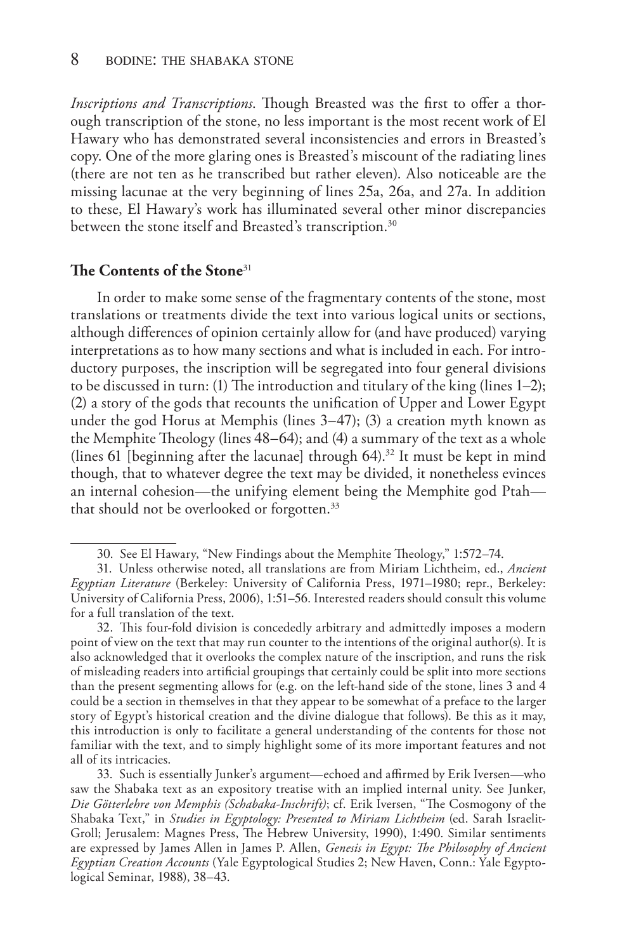*Inscriptions and Transcriptions*. Though Breasted was the first to offer a thorough transcription of the stone, no less important is the most recent work of El Hawary who has demonstrated several inconsistencies and errors in Breasted's copy. One of the more glaring ones is Breasted's miscount of the radiating lines (there are not ten as he transcribed but rather eleven). Also noticeable are the missing lacunae at the very beginning of lines 25a, 26a, and 27a. In addition to these, El Hawary's work has illuminated several other minor discrepancies between the stone itself and Breasted's transcription.<sup>30</sup>

#### **The Contents of the Stone**<sup>31</sup>

In order to make some sense of the fragmentary contents of the stone, most translations or treatments divide the text into various logical units or sections, although differences of opinion certainly allow for (and have produced) varying interpretations as to how many sections and what is included in each. For introductory purposes, the inscription will be segregated into four general divisions to be discussed in turn: (1) The introduction and titulary of the king (lines 1–2); (2) a story of the gods that recounts the unification of Upper and Lower Egypt under the god Horus at Memphis (lines 3–47); (3) a creation myth known as the Memphite Theology (lines 48–64); and (4) a summary of the text as a whole (lines 61 [beginning after the lacunae] through  $64$ ).<sup>32</sup> It must be kept in mind though, that to whatever degree the text may be divided, it nonetheless evinces an internal cohesion—the unifying element being the Memphite god Ptah that should not be overlooked or forgotten.33

<sup>30</sup>. See El Hawary, "New Findings about the Memphite Theology," 1:572–74.

<sup>31</sup>. Unless otherwise noted, all translations are from Miriam Lichtheim, ed., *Ancient Egyptian Literature* (Berkeley: University of California Press, 1971–1980; repr., Berkeley: University of California Press, 2006), 1:51–56. Interested readers should consult this volume for a full translation of the text.

<sup>32</sup>. This four-fold division is concededly arbitrary and admittedly imposes a modern point of view on the text that may run counter to the intentions of the original author(s). It is also acknowledged that it overlooks the complex nature of the inscription, and runs the risk of misleading readers into artificial groupings that certainly could be split into more sections than the present segmenting allows for (e.g. on the left-hand side of the stone, lines 3 and 4 could be a section in themselves in that they appear to be somewhat of a preface to the larger story of Egypt's historical creation and the divine dialogue that follows). Be this as it may, this introduction is only to facilitate a general understanding of the contents for those not familiar with the text, and to simply highlight some of its more important features and not all of its intricacies.

<sup>33</sup>. Such is essentially Junker's argument—echoed and affirmed by Erik Iversen—who saw the Shabaka text as an expository treatise with an implied internal unity. See Junker, *Die Götterlehre von Memphis (Schabaka-Inschrift)*; cf. Erik Iversen, "The Cosmogony of the Shabaka Text," in *Studies in Egyptology: Presented to Miriam Lichtheim* (ed. Sarah Israelit-Groll; Jerusalem: Magnes Press, The Hebrew University, 1990), 1:490. Similar sentiments are expressed by James Allen in James P. Allen, *Genesis in Egypt: The Philosophy of Ancient Egyptian Creation Accounts* (Yale Egyptological Studies 2; New Haven, Conn.: Yale Egyptological Seminar, 1988), 38–43.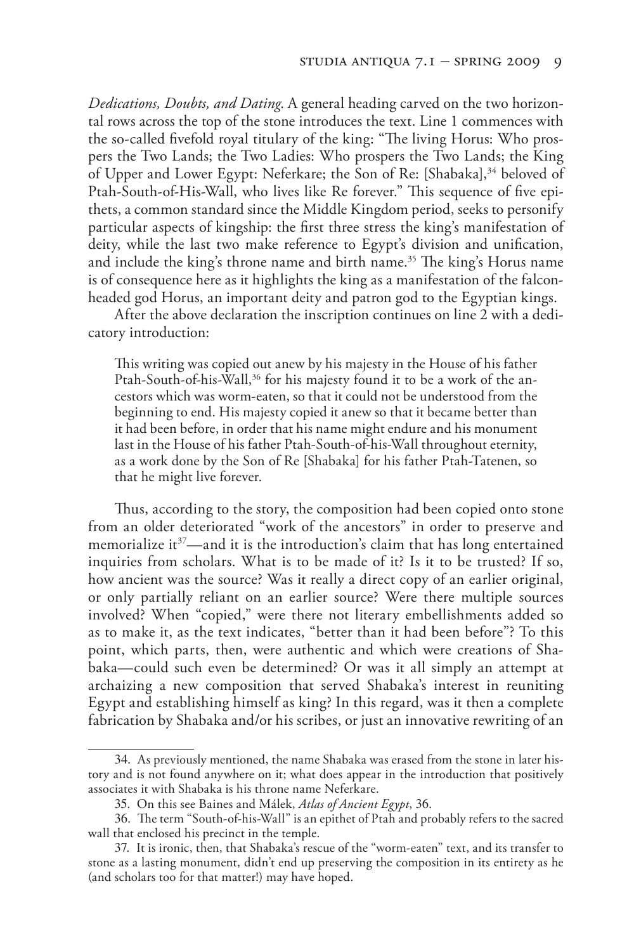*Dedications, Doubts, and Dating*. A general heading carved on the two horizontal rows across the top of the stone introduces the text. Line 1 commences with the so-called fivefold royal titulary of the king: "The living Horus: Who prospers the Two Lands; the Two Ladies: Who prospers the Two Lands; the King of Upper and Lower Egypt: Neferkare; the Son of Re: [Shabaka],<sup>34</sup> beloved of Ptah-South-of-His-Wall, who lives like Re forever." This sequence of five epithets, a common standard since the Middle Kingdom period, seeks to personify particular aspects of kingship: the first three stress the king's manifestation of deity, while the last two make reference to Egypt's division and unification, and include the king's throne name and birth name.<sup>35</sup> The king's Horus name is of consequence here as it highlights the king as a manifestation of the falconheaded god Horus, an important deity and patron god to the Egyptian kings.

After the above declaration the inscription continues on line 2 with a dedicatory introduction:

This writing was copied out anew by his majesty in the House of his father Ptah-South-of-his-Wall,<sup>36</sup> for his majesty found it to be a work of the ancestors which was worm-eaten, so that it could not be understood from the beginning to end. His majesty copied it anew so that it became better than it had been before, in order that his name might endure and his monument last in the House of his father Ptah-South-of-his-Wall throughout eternity, as a work done by the Son of Re [Shabaka] for his father Ptah-Tatenen, so that he might live forever.

Thus, according to the story, the composition had been copied onto stone from an older deteriorated "work of the ancestors" in order to preserve and memorialize it<sup>37</sup>—and it is the introduction's claim that has long entertained inquiries from scholars. What is to be made of it? Is it to be trusted? If so, how ancient was the source? Was it really a direct copy of an earlier original, or only partially reliant on an earlier source? Were there multiple sources involved? When "copied," were there not literary embellishments added so as to make it, as the text indicates, "better than it had been before"? To this point, which parts, then, were authentic and which were creations of Shabaka—could such even be determined? Or was it all simply an attempt at archaizing a new composition that served Shabaka's interest in reuniting Egypt and establishing himself as king? In this regard, was it then a complete fabrication by Shabaka and/or his scribes, or just an innovative rewriting of an

<sup>34</sup>. As previously mentioned, the name Shabaka was erased from the stone in later history and is not found anywhere on it; what does appear in the introduction that positively associates it with Shabaka is his throne name Neferkare.

<sup>35</sup>. On this see Baines and Málek, *Atlas of Ancient Egypt*, 36.

<sup>36</sup>. The term "South-of-his-Wall" is an epithet of Ptah and probably refers to the sacred wall that enclosed his precinct in the temple.

<sup>37</sup>. It is ironic, then, that Shabaka's rescue of the "worm-eaten" text, and its transfer to stone as a lasting monument, didn't end up preserving the composition in its entirety as he (and scholars too for that matter!) may have hoped.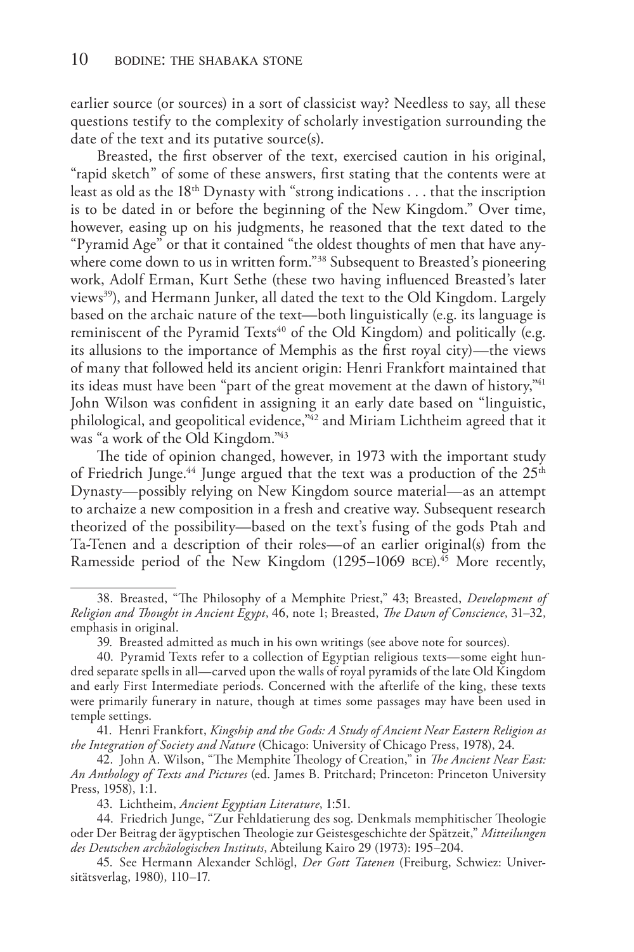earlier source (or sources) in a sort of classicist way? Needless to say, all these questions testify to the complexity of scholarly investigation surrounding the date of the text and its putative source(s).

Breasted, the first observer of the text, exercised caution in his original, "rapid sketch" of some of these answers, first stating that the contents were at least as old as the 18th Dynasty with "strong indications . . . that the inscription is to be dated in or before the beginning of the New Kingdom." Over time, however, easing up on his judgments, he reasoned that the text dated to the "Pyramid Age" or that it contained "the oldest thoughts of men that have anywhere come down to us in written form."<sup>38</sup> Subsequent to Breasted's pioneering work, Adolf Erman, Kurt Sethe (these two having influenced Breasted's later views<sup>39</sup>), and Hermann Junker, all dated the text to the Old Kingdom. Largely based on the archaic nature of the text—both linguistically (e.g. its language is reminiscent of the Pyramid Texts<sup>40</sup> of the Old Kingdom) and politically (e.g. its allusions to the importance of Memphis as the first royal city)—the views of many that followed held its ancient origin: Henri Frankfort maintained that its ideas must have been "part of the great movement at the dawn of history,"41 John Wilson was confident in assigning it an early date based on "linguistic, philological, and geopolitical evidence,"42 and Miriam Lichtheim agreed that it was "a work of the Old Kingdom."43

The tide of opinion changed, however, in 1973 with the important study of Friedrich Junge.<sup>44</sup> Junge argued that the text was a production of the  $25<sup>th</sup>$ Dynasty—possibly relying on New Kingdom source material—as an attempt to archaize a new composition in a fresh and creative way. Subsequent research theorized of the possibility—based on the text's fusing of the gods Ptah and Ta-Tenen and a description of their roles—of an earlier original(s) from the Ramesside period of the New Kingdom (1295–1069 BCE).<sup>45</sup> More recently,

<sup>38</sup>. Breasted, "The Philosophy of a Memphite Priest," 43; Breasted, *Development of Religion and Thought in Ancient Egypt*, 46, note 1; Breasted, *The Dawn of Conscience*, 31–32, emphasis in original.

<sup>39</sup>. Breasted admitted as much in his own writings (see above note for sources).

<sup>40</sup>. Pyramid Texts refer to a collection of Egyptian religious texts—some eight hundred separate spells in all—carved upon the walls of royal pyramids of the late Old Kingdom and early First Intermediate periods. Concerned with the afterlife of the king, these texts were primarily funerary in nature, though at times some passages may have been used in temple settings.

<sup>41</sup>. Henri Frankfort, *Kingship and the Gods: A Study of Ancient Near Eastern Religion as the Integration of Society and Nature* (Chicago: University of Chicago Press, 1978), 24.

<sup>42</sup>. John A. Wilson, "The Memphite Theology of Creation," in *The Ancient Near East: An Anthology of Texts and Pictures* (ed. James B. Pritchard; Princeton: Princeton University Press, 1958), 1:1.

<sup>43</sup>. Lichtheim, *Ancient Egyptian Literature*, 1:51.

<sup>44</sup>. Friedrich Junge, "Zur Fehldatierung des sog. Denkmals memphitischer Theologie oder Der Beitrag der ägyptischen Theologie zur Geistesgeschichte der Spätzeit," *Mitteilungen des Deutschen archäologischen Instituts*, Abteilung Kairo 29 (1973): 195–204.

<sup>45</sup>. See Hermann Alexander Schlögl, *Der Gott Tatenen* (Freiburg, Schwiez: Universitätsverlag, 1980), 110–17.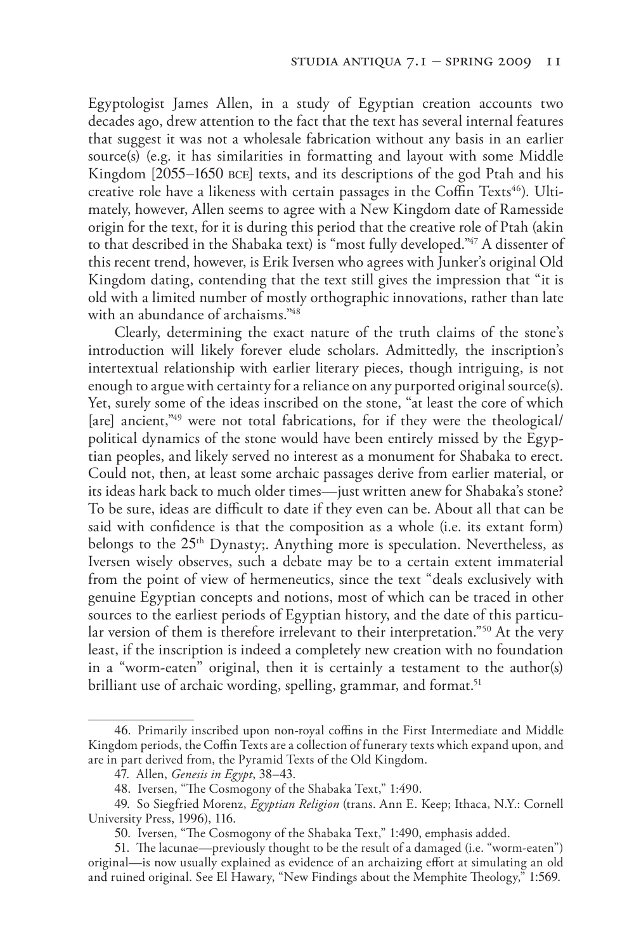Egyptologist James Allen, in a study of Egyptian creation accounts two decades ago, drew attention to the fact that the text has several internal features that suggest it was not a wholesale fabrication without any basis in an earlier source(s) (e.g. it has similarities in formatting and layout with some Middle Kingdom [2055–1650 bce] texts, and its descriptions of the god Ptah and his creative role have a likeness with certain passages in the Coffin Texts<sup>46</sup>). Ultimately, however, Allen seems to agree with a New Kingdom date of Ramesside origin for the text, for it is during this period that the creative role of Ptah (akin to that described in the Shabaka text) is "most fully developed."47 A dissenter of this recent trend, however, is Erik Iversen who agrees with Junker's original Old Kingdom dating, contending that the text still gives the impression that "it is old with a limited number of mostly orthographic innovations, rather than late with an abundance of archaisms."48

Clearly, determining the exact nature of the truth claims of the stone's introduction will likely forever elude scholars. Admittedly, the inscription's intertextual relationship with earlier literary pieces, though intriguing, is not enough to argue with certainty for a reliance on any purported original source(s). Yet, surely some of the ideas inscribed on the stone, "at least the core of which [are] ancient,"<sup>49</sup> were not total fabrications, for if they were the theological/ political dynamics of the stone would have been entirely missed by the Egyptian peoples, and likely served no interest as a monument for Shabaka to erect. Could not, then, at least some archaic passages derive from earlier material, or its ideas hark back to much older times—just written anew for Shabaka's stone? To be sure, ideas are difficult to date if they even can be. About all that can be said with confidence is that the composition as a whole (i.e. its extant form) belongs to the 25<sup>th</sup> Dynasty;. Anything more is speculation. Nevertheless, as Iversen wisely observes, such a debate may be to a certain extent immaterial from the point of view of hermeneutics, since the text "deals exclusively with genuine Egyptian concepts and notions, most of which can be traced in other sources to the earliest periods of Egyptian history, and the date of this particular version of them is therefore irrelevant to their interpretation."50 At the very least, if the inscription is indeed a completely new creation with no foundation in a "worm-eaten" original, then it is certainly a testament to the author(s) brilliant use of archaic wording, spelling, grammar, and format.<sup>51</sup>

<sup>46</sup>. Primarily inscribed upon non-royal coffins in the First Intermediate and Middle Kingdom periods, the Coffin Texts are a collection of funerary texts which expand upon, and are in part derived from, the Pyramid Texts of the Old Kingdom.

<sup>47</sup>. Allen, *Genesis in Egypt*, 38–43.

<sup>48</sup>. Iversen, "The Cosmogony of the Shabaka Text," 1:490.

<sup>49</sup>. So Siegfried Morenz, *Egyptian Religion* (trans. Ann E. Keep; Ithaca, N.Y.: Cornell University Press, 1996), 116.

<sup>50</sup>. Iversen, "The Cosmogony of the Shabaka Text," 1:490, emphasis added.

<sup>51</sup>. The lacunae—previously thought to be the result of a damaged (i.e. "worm-eaten") original—is now usually explained as evidence of an archaizing effort at simulating an old and ruined original. See El Hawary, "New Findings about the Memphite Theology," 1:569.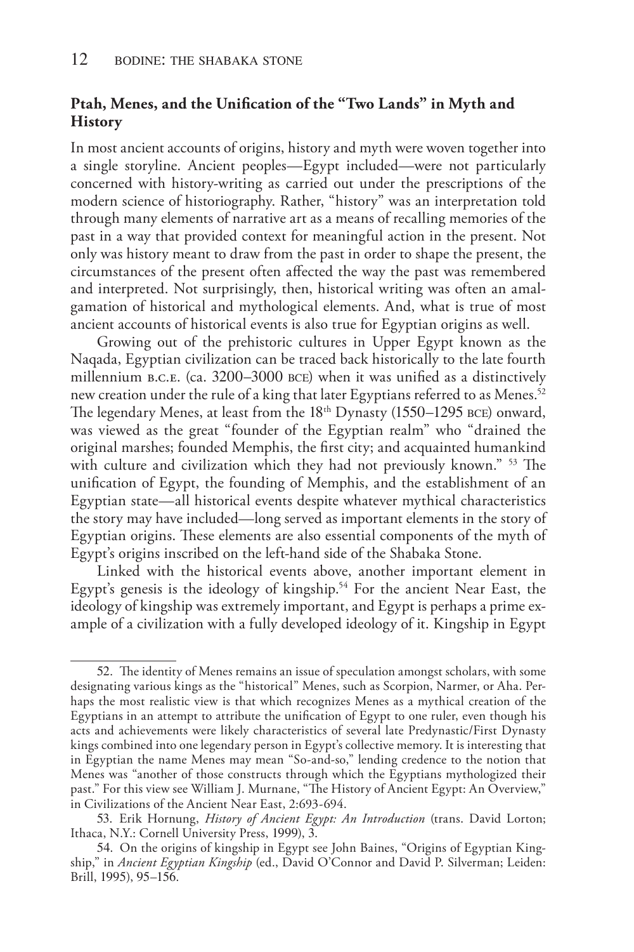## **Ptah, Menes, and the Unification of the "Two Lands" in Myth and History**

In most ancient accounts of origins, history and myth were woven together into a single storyline. Ancient peoples—Egypt included—were not particularly concerned with history-writing as carried out under the prescriptions of the modern science of historiography. Rather, "history" was an interpretation told through many elements of narrative art as a means of recalling memories of the past in a way that provided context for meaningful action in the present. Not only was history meant to draw from the past in order to shape the present, the circumstances of the present often affected the way the past was remembered and interpreted. Not surprisingly, then, historical writing was often an amalgamation of historical and mythological elements. And, what is true of most ancient accounts of historical events is also true for Egyptian origins as well.

Growing out of the prehistoric cultures in Upper Egypt known as the Naqada, Egyptian civilization can be traced back historically to the late fourth millennium b.c.e. (ca. 3200–3000 bce) when it was unified as a distinctively new creation under the rule of a king that later Egyptians referred to as Menes.<sup>52</sup> The legendary Menes, at least from the 18<sup>th</sup> Dynasty (1550–1295 BCE) onward, was viewed as the great "founder of the Egyptian realm" who "drained the original marshes; founded Memphis, the first city; and acquainted humankind with culture and civilization which they had not previously known." 53 The unification of Egypt, the founding of Memphis, and the establishment of an Egyptian state—all historical events despite whatever mythical characteristics the story may have included—long served as important elements in the story of Egyptian origins. These elements are also essential components of the myth of Egypt's origins inscribed on the left-hand side of the Shabaka Stone.

Linked with the historical events above, another important element in Egypt's genesis is the ideology of kingship.<sup>54</sup> For the ancient Near East, the ideology of kingship was extremely important, and Egypt is perhaps a prime example of a civilization with a fully developed ideology of it. Kingship in Egypt

<sup>52</sup>. The identity of Menes remains an issue of speculation amongst scholars, with some designating various kings as the "historical" Menes, such as Scorpion, Narmer, or Aha. Perhaps the most realistic view is that which recognizes Menes as a mythical creation of the Egyptians in an attempt to attribute the unification of Egypt to one ruler, even though his acts and achievements were likely characteristics of several late Predynastic/First Dynasty kings combined into one legendary person in Egypt's collective memory. It is interesting that in Egyptian the name Menes may mean "So-and-so," lending credence to the notion that Menes was "another of those constructs through which the Egyptians mythologized their past." For this view see William J. Murnane, "The History of Ancient Egypt: An Overview," in Civilizations of the Ancient Near East, 2:693-694.

<sup>53</sup>. Erik Hornung, *History of Ancient Egypt: An Introduction* (trans. David Lorton; Ithaca, N.Y.: Cornell University Press, 1999), 3.

<sup>54</sup>. On the origins of kingship in Egypt see John Baines, "Origins of Egyptian Kingship," in *Ancient Egyptian Kingship* (ed., David O'Connor and David P. Silverman; Leiden: Brill, 1995), 95–156.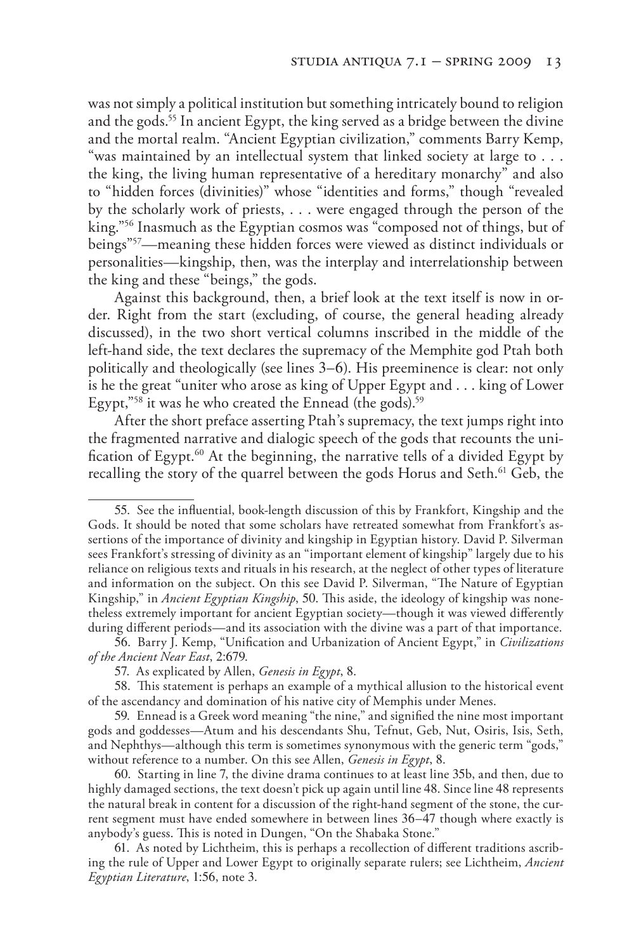was not simply a political institution but something intricately bound to religion and the gods.55 In ancient Egypt, the king served as a bridge between the divine and the mortal realm. "Ancient Egyptian civilization," comments Barry Kemp, "was maintained by an intellectual system that linked society at large to . . . the king, the living human representative of a hereditary monarchy" and also to "hidden forces (divinities)" whose "identities and forms," though "revealed by the scholarly work of priests, . . . were engaged through the person of the king."56 Inasmuch as the Egyptian cosmos was "composed not of things, but of beings"57—meaning these hidden forces were viewed as distinct individuals or personalities—kingship, then, was the interplay and interrelationship between the king and these "beings," the gods.

Against this background, then, a brief look at the text itself is now in order. Right from the start (excluding, of course, the general heading already discussed), in the two short vertical columns inscribed in the middle of the left-hand side, the text declares the supremacy of the Memphite god Ptah both politically and theologically (see lines 3–6). His preeminence is clear: not only is he the great "uniter who arose as king of Upper Egypt and . . . king of Lower Egypt,"<sup>58</sup> it was he who created the Ennead (the gods).<sup>59</sup>

After the short preface asserting Ptah's supremacy, the text jumps right into the fragmented narrative and dialogic speech of the gods that recounts the unification of Egypt.60 At the beginning, the narrative tells of a divided Egypt by recalling the story of the quarrel between the gods Horus and Seth.<sup>61</sup> Geb, the

<sup>55</sup>. See the influential, book-length discussion of this by Frankfort, Kingship and the Gods. It should be noted that some scholars have retreated somewhat from Frankfort's assertions of the importance of divinity and kingship in Egyptian history. David P. Silverman sees Frankfort's stressing of divinity as an "important element of kingship" largely due to his reliance on religious texts and rituals in his research, at the neglect of other types of literature and information on the subject. On this see David P. Silverman, "The Nature of Egyptian Kingship," in *Ancient Egyptian Kingship*, 50. This aside, the ideology of kingship was nonetheless extremely important for ancient Egyptian society—though it was viewed differently during different periods—and its association with the divine was a part of that importance.

<sup>56</sup>. Barry J. Kemp, "Unification and Urbanization of Ancient Egypt," in *Civilizations of the Ancient Near East*, 2:679.

<sup>57</sup>. As explicated by Allen, *Genesis in Egypt*, 8.

<sup>58</sup>. This statement is perhaps an example of a mythical allusion to the historical event of the ascendancy and domination of his native city of Memphis under Menes.

<sup>59</sup>. Ennead is a Greek word meaning "the nine," and signified the nine most important gods and goddesses—Atum and his descendants Shu, Tefnut, Geb, Nut, Osiris, Isis, Seth, and Nephthys—although this term is sometimes synonymous with the generic term "gods," without reference to a number. On this see Allen, *Genesis in Egypt*, 8.

<sup>60</sup>. Starting in line 7, the divine drama continues to at least line 35b, and then, due to highly damaged sections, the text doesn't pick up again until line 48. Since line 48 represents the natural break in content for a discussion of the right-hand segment of the stone, the current segment must have ended somewhere in between lines 36–47 though where exactly is anybody's guess. This is noted in Dungen, "On the Shabaka Stone."

<sup>61</sup>. As noted by Lichtheim, this is perhaps a recollection of different traditions ascribing the rule of Upper and Lower Egypt to originally separate rulers; see Lichtheim, *Ancient Egyptian Literature*, 1:56, note 3.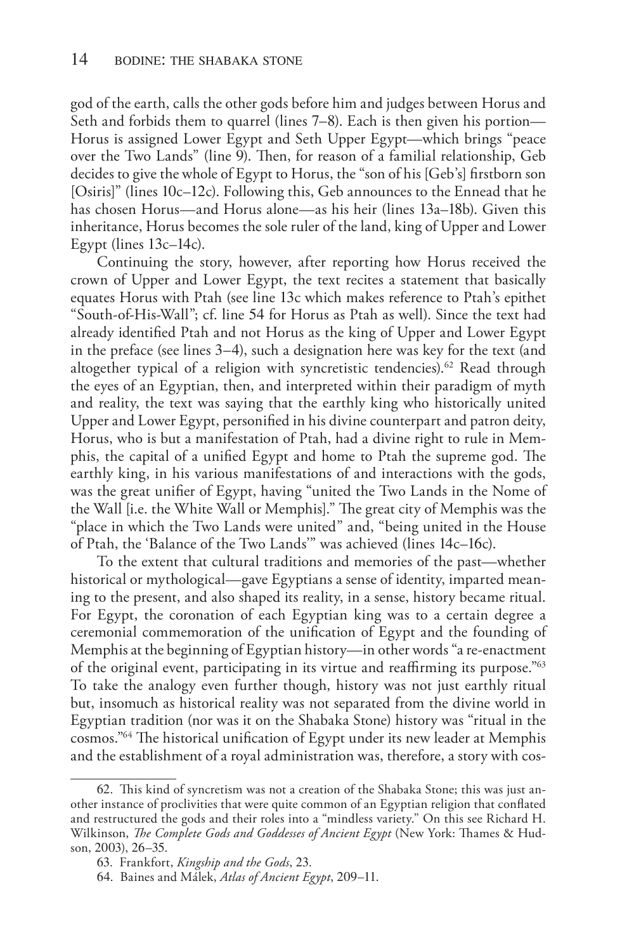god of the earth, calls the other gods before him and judges between Horus and Seth and forbids them to quarrel (lines 7–8). Each is then given his portion— Horus is assigned Lower Egypt and Seth Upper Egypt—which brings "peace over the Two Lands" (line 9). Then, for reason of a familial relationship, Geb decides to give the whole of Egypt to Horus, the "son of his [Geb's] firstborn son [Osiris]" (lines 10c–12c). Following this, Geb announces to the Ennead that he has chosen Horus—and Horus alone—as his heir (lines 13a–18b). Given this inheritance, Horus becomes the sole ruler of the land, king of Upper and Lower Egypt (lines 13c–14c).

Continuing the story, however, after reporting how Horus received the crown of Upper and Lower Egypt, the text recites a statement that basically equates Horus with Ptah (see line 13c which makes reference to Ptah's epithet "South-of-His-Wall"; cf. line 54 for Horus as Ptah as well). Since the text had already identified Ptah and not Horus as the king of Upper and Lower Egypt in the preface (see lines 3–4), such a designation here was key for the text (and altogether typical of a religion with syncretistic tendencies).<sup>62</sup> Read through the eyes of an Egyptian, then, and interpreted within their paradigm of myth and reality, the text was saying that the earthly king who historically united Upper and Lower Egypt, personified in his divine counterpart and patron deity, Horus, who is but a manifestation of Ptah, had a divine right to rule in Memphis, the capital of a unified Egypt and home to Ptah the supreme god. The earthly king, in his various manifestations of and interactions with the gods, was the great unifier of Egypt, having "united the Two Lands in the Nome of the Wall [i.e. the White Wall or Memphis]." The great city of Memphis was the "place in which the Two Lands were united" and, "being united in the House of Ptah, the 'Balance of the Two Lands'" was achieved (lines 14c–16c).

To the extent that cultural traditions and memories of the past—whether historical or mythological—gave Egyptians a sense of identity, imparted meaning to the present, and also shaped its reality, in a sense, history became ritual. For Egypt, the coronation of each Egyptian king was to a certain degree a ceremonial commemoration of the unification of Egypt and the founding of Memphis at the beginning of Egyptian history—in other words "a re-enactment of the original event, participating in its virtue and reaffirming its purpose."63 To take the analogy even further though, history was not just earthly ritual but, insomuch as historical reality was not separated from the divine world in Egyptian tradition (nor was it on the Shabaka Stone) history was "ritual in the cosmos."64 The historical unification of Egypt under its new leader at Memphis and the establishment of a royal administration was, therefore, a story with cos-

<sup>62</sup>. This kind of syncretism was not a creation of the Shabaka Stone; this was just another instance of proclivities that were quite common of an Egyptian religion that conflated and restructured the gods and their roles into a "mindless variety." On this see Richard H. Wilkinson, *The Complete Gods and Goddesses of Ancient Egypt* (New York: Thames & Hudson, 2003), 26–35.

<sup>63</sup>. Frankfort, *Kingship and the Gods*, 23.

<sup>64</sup>. Baines and Málek, *Atlas of Ancient Egypt*, 209–11.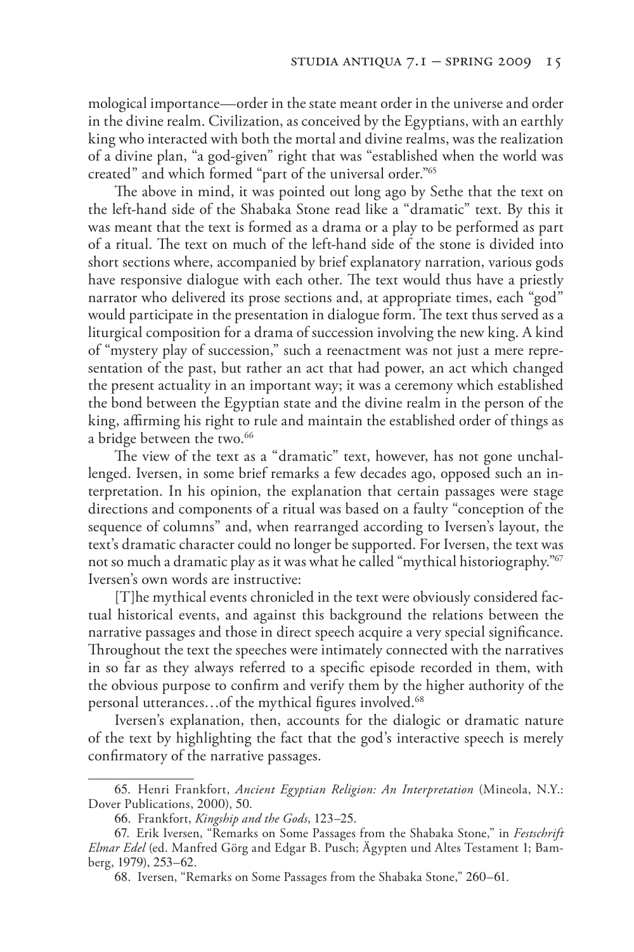mological importance—order in the state meant order in the universe and order in the divine realm. Civilization, as conceived by the Egyptians, with an earthly king who interacted with both the mortal and divine realms, was the realization of a divine plan, "a god-given" right that was "established when the world was created" and which formed "part of the universal order."65

The above in mind, it was pointed out long ago by Sethe that the text on the left-hand side of the Shabaka Stone read like a "dramatic" text. By this it was meant that the text is formed as a drama or a play to be performed as part of a ritual. The text on much of the left-hand side of the stone is divided into short sections where, accompanied by brief explanatory narration, various gods have responsive dialogue with each other. The text would thus have a priestly narrator who delivered its prose sections and, at appropriate times, each "god" would participate in the presentation in dialogue form. The text thus served as a liturgical composition for a drama of succession involving the new king. A kind of "mystery play of succession," such a reenactment was not just a mere representation of the past, but rather an act that had power, an act which changed the present actuality in an important way; it was a ceremony which established the bond between the Egyptian state and the divine realm in the person of the king, affirming his right to rule and maintain the established order of things as a bridge between the two.<sup>66</sup>

The view of the text as a "dramatic" text, however, has not gone unchallenged. Iversen, in some brief remarks a few decades ago, opposed such an interpretation. In his opinion, the explanation that certain passages were stage directions and components of a ritual was based on a faulty "conception of the sequence of columns" and, when rearranged according to Iversen's layout, the text's dramatic character could no longer be supported. For Iversen, the text was not so much a dramatic play as it was what he called "mythical historiography."67 Iversen's own words are instructive:

[T]he mythical events chronicled in the text were obviously considered factual historical events, and against this background the relations between the narrative passages and those in direct speech acquire a very special significance. Throughout the text the speeches were intimately connected with the narratives in so far as they always referred to a specific episode recorded in them, with the obvious purpose to confirm and verify them by the higher authority of the personal utterances...of the mythical figures involved.<sup>68</sup>

Iversen's explanation, then, accounts for the dialogic or dramatic nature of the text by highlighting the fact that the god's interactive speech is merely confirmatory of the narrative passages.

<sup>65</sup>. Henri Frankfort, *Ancient Egyptian Religion: An Interpretation* (Mineola, N.Y.: Dover Publications, 2000), 50.

<sup>66</sup>. Frankfort, *Kingship and the Gods*, 123–25.

<sup>67</sup>. Erik Iversen, "Remarks on Some Passages from the Shabaka Stone," in *Festschrift Elmar Edel* (ed. Manfred Görg and Edgar B. Pusch; Ägypten und Altes Testament 1; Bamberg, 1979), 253–62.

<sup>68</sup>. Iversen, "Remarks on Some Passages from the Shabaka Stone," 260–61.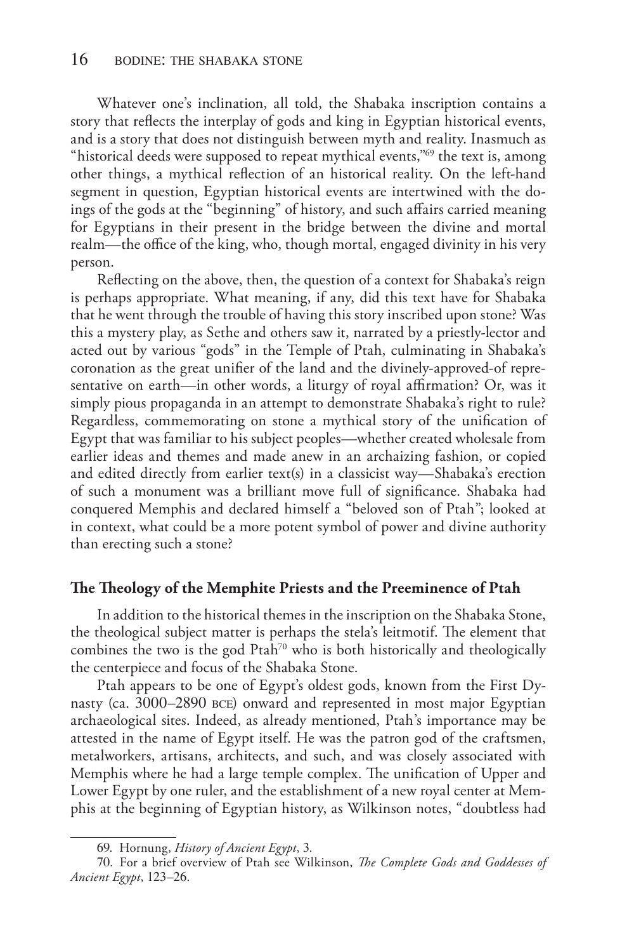Whatever one's inclination, all told, the Shabaka inscription contains a story that reflects the interplay of gods and king in Egyptian historical events, and is a story that does not distinguish between myth and reality. Inasmuch as "historical deeds were supposed to repeat mythical events,"<sup>69</sup> the text is, among other things, a mythical reflection of an historical reality. On the left-hand segment in question, Egyptian historical events are intertwined with the doings of the gods at the "beginning" of history, and such affairs carried meaning for Egyptians in their present in the bridge between the divine and mortal realm—the office of the king, who, though mortal, engaged divinity in his very person.

Reflecting on the above, then, the question of a context for Shabaka's reign is perhaps appropriate. What meaning, if any, did this text have for Shabaka that he went through the trouble of having this story inscribed upon stone? Was this a mystery play, as Sethe and others saw it, narrated by a priestly-lector and acted out by various "gods" in the Temple of Ptah, culminating in Shabaka's coronation as the great unifier of the land and the divinely-approved-of representative on earth—in other words, a liturgy of royal affirmation? Or, was it simply pious propaganda in an attempt to demonstrate Shabaka's right to rule? Regardless, commemorating on stone a mythical story of the unification of Egypt that was familiar to his subject peoples—whether created wholesale from earlier ideas and themes and made anew in an archaizing fashion, or copied and edited directly from earlier text(s) in a classicist way—Shabaka's erection of such a monument was a brilliant move full of significance. Shabaka had conquered Memphis and declared himself a "beloved son of Ptah"; looked at in context, what could be a more potent symbol of power and divine authority than erecting such a stone?

#### **The Theology of the Memphite Priests and the Preeminence of Ptah**

In addition to the historical themes in the inscription on the Shabaka Stone, the theological subject matter is perhaps the stela's leitmotif. The element that combines the two is the god  $P \tanh^{70}$  who is both historically and theologically the centerpiece and focus of the Shabaka Stone.

Ptah appears to be one of Egypt's oldest gods, known from the First Dynasty (ca. 3000–2890 bce) onward and represented in most major Egyptian archaeological sites. Indeed, as already mentioned, Ptah's importance may be attested in the name of Egypt itself. He was the patron god of the craftsmen, metalworkers, artisans, architects, and such, and was closely associated with Memphis where he had a large temple complex. The unification of Upper and Lower Egypt by one ruler, and the establishment of a new royal center at Memphis at the beginning of Egyptian history, as Wilkinson notes, "doubtless had

<sup>69</sup>. Hornung, *History of Ancient Egypt*, 3.

<sup>70</sup>. For a brief overview of Ptah see Wilkinson, *The Complete Gods and Goddesses of Ancient Egypt*, 123–26.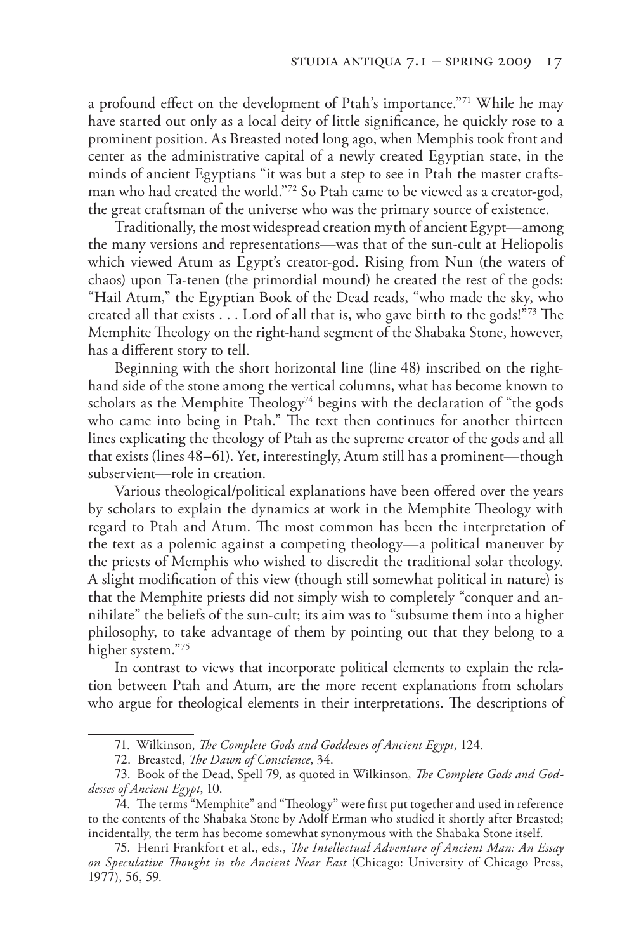a profound effect on the development of Ptah's importance."<sup>71</sup> While he may have started out only as a local deity of little significance, he quickly rose to a prominent position. As Breasted noted long ago, when Memphis took front and center as the administrative capital of a newly created Egyptian state, in the minds of ancient Egyptians "it was but a step to see in Ptah the master craftsman who had created the world."72 So Ptah came to be viewed as a creator-god, the great craftsman of the universe who was the primary source of existence.

Traditionally, the most widespread creation myth of ancient Egypt—among the many versions and representations—was that of the sun-cult at Heliopolis which viewed Atum as Egypt's creator-god. Rising from Nun (the waters of chaos) upon Ta-tenen (the primordial mound) he created the rest of the gods: "Hail Atum," the Egyptian Book of the Dead reads, "who made the sky, who created all that exists . . . Lord of all that is, who gave birth to the gods!"73 The Memphite Theology on the right-hand segment of the Shabaka Stone, however, has a different story to tell.

Beginning with the short horizontal line (line 48) inscribed on the righthand side of the stone among the vertical columns, what has become known to scholars as the Memphite Theology<sup>74</sup> begins with the declaration of "the gods" who came into being in Ptah." The text then continues for another thirteen lines explicating the theology of Ptah as the supreme creator of the gods and all that exists (lines 48–61). Yet, interestingly, Atum still has a prominent—though subservient—role in creation.

Various theological/political explanations have been offered over the years by scholars to explain the dynamics at work in the Memphite Theology with regard to Ptah and Atum. The most common has been the interpretation of the text as a polemic against a competing theology—a political maneuver by the priests of Memphis who wished to discredit the traditional solar theology. A slight modification of this view (though still somewhat political in nature) is that the Memphite priests did not simply wish to completely "conquer and annihilate" the beliefs of the sun-cult; its aim was to "subsume them into a higher philosophy, to take advantage of them by pointing out that they belong to a higher system."75

In contrast to views that incorporate political elements to explain the relation between Ptah and Atum, are the more recent explanations from scholars who argue for theological elements in their interpretations. The descriptions of

<sup>71</sup>. Wilkinson, *The Complete Gods and Goddesses of Ancient Egypt*, 124.

<sup>72</sup>. Breasted, *The Dawn of Conscience*, 34.

<sup>73</sup>. Book of the Dead, Spell 79, as quoted in Wilkinson, *The Complete Gods and Goddesses of Ancient Egypt*, 10.

<sup>74</sup>. The terms "Memphite" and "Theology" were first put together and used in reference to the contents of the Shabaka Stone by Adolf Erman who studied it shortly after Breasted; incidentally, the term has become somewhat synonymous with the Shabaka Stone itself.

<sup>75</sup>. Henri Frankfort et al., eds., *The Intellectual Adventure of Ancient Man: An Essay on Speculative Thought in the Ancient Near East* (Chicago: University of Chicago Press, 1977), 56, 59.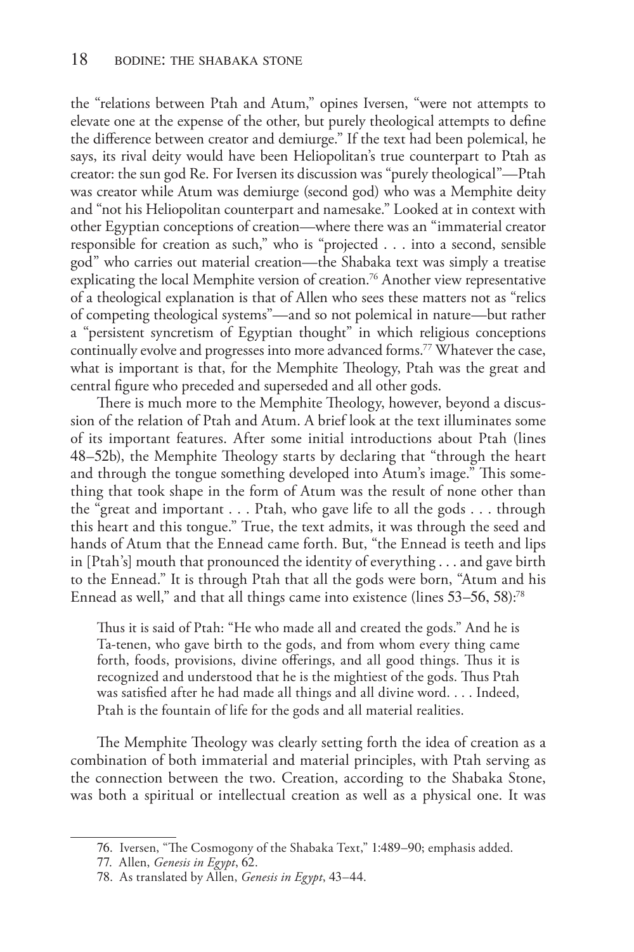the "relations between Ptah and Atum," opines Iversen, "were not attempts to elevate one at the expense of the other, but purely theological attempts to define the difference between creator and demiurge." If the text had been polemical, he says, its rival deity would have been Heliopolitan's true counterpart to Ptah as creator: the sun god Re. For Iversen its discussion was "purely theological"—Ptah was creator while Atum was demiurge (second god) who was a Memphite deity and "not his Heliopolitan counterpart and namesake." Looked at in context with other Egyptian conceptions of creation—where there was an "immaterial creator responsible for creation as such," who is "projected . . . into a second, sensible god" who carries out material creation—the Shabaka text was simply a treatise explicating the local Memphite version of creation.<sup>76</sup> Another view representative of a theological explanation is that of Allen who sees these matters not as "relics of competing theological systems"—and so not polemical in nature—but rather a "persistent syncretism of Egyptian thought" in which religious conceptions continually evolve and progresses into more advanced forms.77 Whatever the case, what is important is that, for the Memphite Theology, Ptah was the great and central figure who preceded and superseded and all other gods.

There is much more to the Memphite Theology, however, beyond a discussion of the relation of Ptah and Atum. A brief look at the text illuminates some of its important features. After some initial introductions about Ptah (lines 48–52b), the Memphite Theology starts by declaring that "through the heart and through the tongue something developed into Atum's image." This something that took shape in the form of Atum was the result of none other than the "great and important . . . Ptah, who gave life to all the gods . . . through this heart and this tongue." True, the text admits, it was through the seed and hands of Atum that the Ennead came forth. But, "the Ennead is teeth and lips in [Ptah's] mouth that pronounced the identity of everything . . . and gave birth to the Ennead." It is through Ptah that all the gods were born, "Atum and his Ennead as well," and that all things came into existence (lines 53–56, 58):78

Thus it is said of Ptah: "He who made all and created the gods." And he is Ta-tenen, who gave birth to the gods, and from whom every thing came forth, foods, provisions, divine offerings, and all good things. Thus it is recognized and understood that he is the mightiest of the gods. Thus Ptah was satisfied after he had made all things and all divine word. . . . Indeed, Ptah is the fountain of life for the gods and all material realities.

The Memphite Theology was clearly setting forth the idea of creation as a combination of both immaterial and material principles, with Ptah serving as the connection between the two. Creation, according to the Shabaka Stone, was both a spiritual or intellectual creation as well as a physical one. It was

<sup>76</sup>. Iversen, "The Cosmogony of the Shabaka Text," 1:489–90; emphasis added.

<sup>77</sup>. Allen, *Genesis in Egypt*, 62.

<sup>78</sup>. As translated by Allen, *Genesis in Egypt*, 43–44.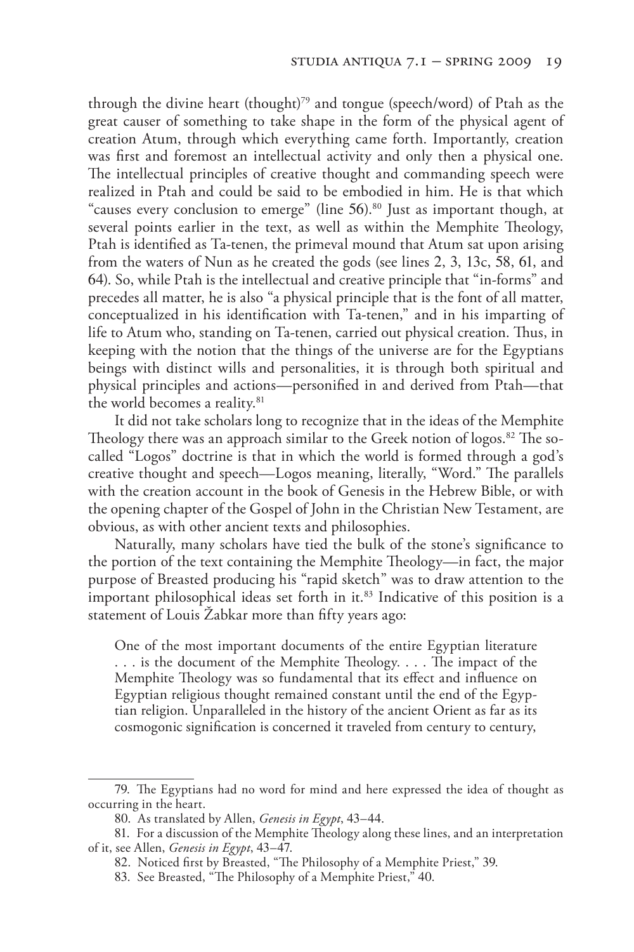through the divine heart (thought)<sup>79</sup> and tongue (speech/word) of Ptah as the great causer of something to take shape in the form of the physical agent of creation Atum, through which everything came forth. Importantly, creation was first and foremost an intellectual activity and only then a physical one. The intellectual principles of creative thought and commanding speech were realized in Ptah and could be said to be embodied in him. He is that which "causes every conclusion to emerge" (line 56).<sup>80</sup> Just as important though, at several points earlier in the text, as well as within the Memphite Theology, Ptah is identified as Ta-tenen, the primeval mound that Atum sat upon arising from the waters of Nun as he created the gods (see lines 2, 3, 13c, 58, 61, and 64). So, while Ptah is the intellectual and creative principle that "in-forms" and precedes all matter, he is also "a physical principle that is the font of all matter, conceptualized in his identification with Ta-tenen," and in his imparting of life to Atum who, standing on Ta-tenen, carried out physical creation. Thus, in keeping with the notion that the things of the universe are for the Egyptians beings with distinct wills and personalities, it is through both spiritual and physical principles and actions—personified in and derived from Ptah—that the world becomes a reality.<sup>81</sup>

It did not take scholars long to recognize that in the ideas of the Memphite Theology there was an approach similar to the Greek notion of logos.<sup>82</sup> The socalled "Logos" doctrine is that in which the world is formed through a god's creative thought and speech—Logos meaning, literally, "Word." The parallels with the creation account in the book of Genesis in the Hebrew Bible, or with the opening chapter of the Gospel of John in the Christian New Testament, are obvious, as with other ancient texts and philosophies.

Naturally, many scholars have tied the bulk of the stone's significance to the portion of the text containing the Memphite Theology—in fact, the major purpose of Breasted producing his "rapid sketch" was to draw attention to the important philosophical ideas set forth in it.<sup>83</sup> Indicative of this position is a statement of Louis Žabkar more than fifty years ago:

One of the most important documents of the entire Egyptian literature . . . is the document of the Memphite Theology. . . . The impact of the Memphite Theology was so fundamental that its effect and influence on Egyptian religious thought remained constant until the end of the Egyptian religion. Unparalleled in the history of the ancient Orient as far as its cosmogonic signification is concerned it traveled from century to century,

<sup>79</sup>. The Egyptians had no word for mind and here expressed the idea of thought as occurring in the heart.

<sup>80</sup>. As translated by Allen, *Genesis in Egypt*, 43–44.

<sup>81</sup>. For a discussion of the Memphite Theology along these lines, and an interpretation of it, see Allen, *Genesis in Egypt*, 43–47.

<sup>82</sup>. Noticed first by Breasted, "The Philosophy of a Memphite Priest," 39.

<sup>83</sup>. See Breasted, "The Philosophy of a Memphite Priest," 40.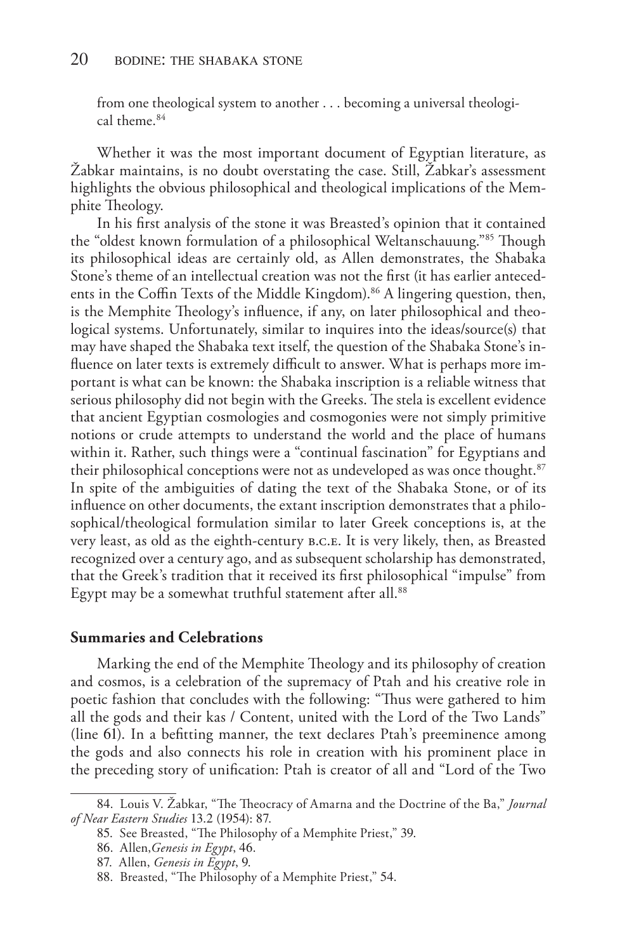from one theological system to another . . . becoming a universal theological theme.84

Whether it was the most important document of Egyptian literature, as Žabkar maintains, is no doubt overstating the case. Still, Žabkar's assessment highlights the obvious philosophical and theological implications of the Memphite Theology.

In his first analysis of the stone it was Breasted's opinion that it contained the "oldest known formulation of a philosophical Weltanschauung."85 Though its philosophical ideas are certainly old, as Allen demonstrates, the Shabaka Stone's theme of an intellectual creation was not the first (it has earlier antecedents in the Coffin Texts of the Middle Kingdom).<sup>86</sup> A lingering question, then, is the Memphite Theology's influence, if any, on later philosophical and theological systems. Unfortunately, similar to inquires into the ideas/source(s) that may have shaped the Shabaka text itself, the question of the Shabaka Stone's influence on later texts is extremely difficult to answer. What is perhaps more important is what can be known: the Shabaka inscription is a reliable witness that serious philosophy did not begin with the Greeks. The stela is excellent evidence that ancient Egyptian cosmologies and cosmogonies were not simply primitive notions or crude attempts to understand the world and the place of humans within it. Rather, such things were a "continual fascination" for Egyptians and their philosophical conceptions were not as undeveloped as was once thought.<sup>87</sup> In spite of the ambiguities of dating the text of the Shabaka Stone, or of its influence on other documents, the extant inscription demonstrates that a philosophical/theological formulation similar to later Greek conceptions is, at the very least, as old as the eighth-century b.c.e. It is very likely, then, as Breasted recognized over a century ago, and as subsequent scholarship has demonstrated, that the Greek's tradition that it received its first philosophical "impulse" from Egypt may be a somewhat truthful statement after all.<sup>88</sup>

#### **Summaries and Celebrations**

Marking the end of the Memphite Theology and its philosophy of creation and cosmos, is a celebration of the supremacy of Ptah and his creative role in poetic fashion that concludes with the following: "Thus were gathered to him all the gods and their kas / Content, united with the Lord of the Two Lands" (line 61). In a befitting manner, the text declares Ptah's preeminence among the gods and also connects his role in creation with his prominent place in the preceding story of unification: Ptah is creator of all and "Lord of the Two

<sup>84</sup>. Louis V. Žabkar, "The Theocracy of Amarna and the Doctrine of the Ba," *Journal of Near Eastern Studies* 13.2 (1954): 87.

<sup>85</sup>. See Breasted, "The Philosophy of a Memphite Priest," 39.

<sup>86</sup>. Allen,*Genesis in Egypt*, 46.

<sup>87</sup>. Allen, *Genesis in Egypt*, 9.

<sup>88</sup>. Breasted, "The Philosophy of a Memphite Priest," 54.